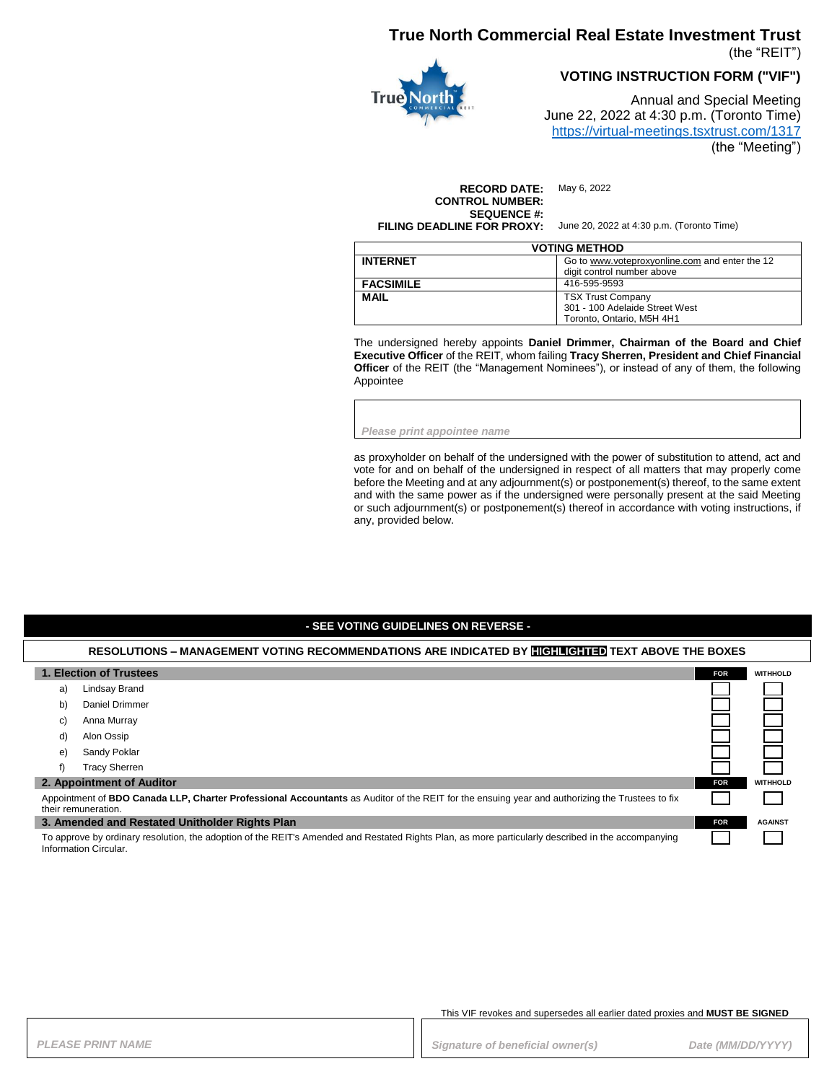## **True North Commercial Real Estate Investment Trust**

(the "REIT")



**VOTING INSTRUCTION FORM ("VIF")**

Annual and Special Meeting June 22, 2022 at 4:30 p.m. (Toronto Time) <https://virtual-meetings.tsxtrust.com/1317> (the "Meeting")

**RECORD DATE:** May 6, 2022 **CONTROL NUMBER: SEQUENCE #: FILING DEADLINE FOR PROXY:** June 20, 2022 at 4:30 p.m. (Toronto Time)

| <b>VOTING METHOD</b> |                                                                                         |  |
|----------------------|-----------------------------------------------------------------------------------------|--|
| <b>INTERNET</b>      | Go to www.voteproxyonline.com and enter the 12<br>digit control number above            |  |
| <b>FACSIMILE</b>     | 416-595-9593                                                                            |  |
| <b>MAIL</b>          | <b>TSX Trust Company</b><br>301 - 100 Adelaide Street West<br>Toronto. Ontario. M5H 4H1 |  |

The undersigned hereby appoints **Daniel Drimmer, Chairman of the Board and Chief Executive Officer** of the REIT, whom failing **Tracy Sherren, President and Chief Financial Officer** of the REIT (the "Management Nominees"), or instead of any of them, the following Appointee

*Please print appointee name*

as proxyholder on behalf of the undersigned with the power of substitution to attend, act and vote for and on behalf of the undersigned in respect of all matters that may properly come before the Meeting and at any adjournment(s) or postponement(s) thereof, to the same extent and with the same power as if the undersigned were personally present at the said Meeting or such adjournment(s) or postponement(s) thereof in accordance with voting instructions, if any, provided below.

### **- SEE VOTING GUIDELINES ON REVERSE -**

#### **RESOLUTIONS – MANAGEMENT VOTING RECOMMENDATIONS ARE INDICATED BY HIGHLIGHTED TEXT ABOVE THE BOXES**

|                                                                                                                                                                            | 1. Election of Trustees   | <b>FOR</b> | <b>WITHHOLD</b> |
|----------------------------------------------------------------------------------------------------------------------------------------------------------------------------|---------------------------|------------|-----------------|
| a)                                                                                                                                                                         | Lindsay Brand             |            |                 |
| b)                                                                                                                                                                         | Daniel Drimmer            |            |                 |
| C)                                                                                                                                                                         | Anna Murray               |            |                 |
| d)                                                                                                                                                                         | Alon Ossip                |            |                 |
| e)                                                                                                                                                                         | Sandy Poklar              |            |                 |
|                                                                                                                                                                            | <b>Tracy Sherren</b>      |            |                 |
|                                                                                                                                                                            | 2. Appointment of Auditor | <b>FOR</b> | <b>WITHHOLD</b> |
| Appointment of BDO Canada LLP, Charter Professional Accountants as Auditor of the REIT for the ensuing year and authorizing the Trustees to fix<br>their remuneration.     |                           |            |                 |
| 3. Amended and Restated Unitholder Rights Plan                                                                                                                             |                           | <b>FOR</b> | <b>AGAINST</b>  |
| To approve by ordinary resolution, the adoption of the REIT's Amended and Restated Rights Plan, as more particularly described in the accompanying<br>Information Circular |                           |            |                 |

#### This VIF revokes and supersedes all earlier dated proxies and **MUST BE SIGNED**